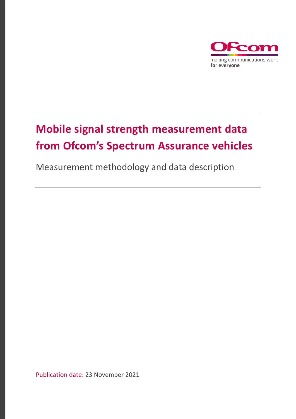

# **Mobile signal strength measurement data from Ofcom's Spectrum Assurance vehicles**

Measurement methodology and data description

Publication date: 23 November 2021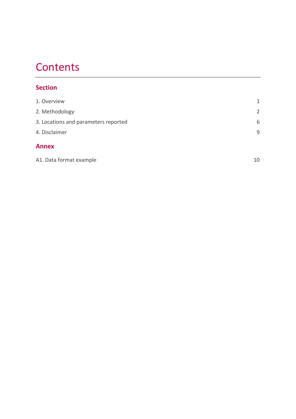### **Contents**

#### **Section**

| 1. Overview                          | 1  |
|--------------------------------------|----|
| 2. Methodology                       | 2  |
| 3. Locations and parameters reported | 6  |
| 4. Disclaimer                        | 9  |
| <b>Annex</b>                         |    |
| A1. Data format example              | 10 |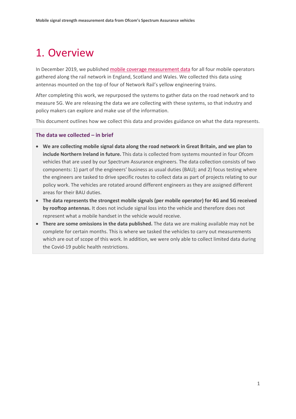## <span id="page-2-0"></span>1. Overview

In December 2019, we published [mobile coverage measurement data](https://www.ofcom.org.uk/research-and-data/multi-sector-research/infrastructure-research/connected-nations-2019/data-downloads) for all four mobile operators gathered along the rail network in England, Scotland and Wales. We collected this data using antennas mounted on the top of four of Network Rail's yellow engineering trains.

After completing this work, we repurposed the systems to gather data on the road network and to measure 5G. We are releasing the data we are collecting with these systems, so that industry and policy makers can explore and make use of the information.

This document outlines how we collect this data and provides guidance on what the data represents.

#### **The data we collected – in brief**

- **We are collecting mobile signal data along the road network in Great Britain, and we plan to include Northern Ireland in future.** This data is collected from systems mounted in four Ofcom vehicles that are used by our Spectrum Assurance engineers. The data collection consists of two components: 1) part of the engineers' business as usual duties (BAU); and 2) focus testing where the engineers are tasked to drive specific routes to collect data as part of projects relating to our policy work. The vehicles are rotated around different engineers as they are assigned different areas for their BAU duties.
- **The data represents the strongest mobile signals (per mobile operator) for 4G and 5G received by rooftop antennas.** It does not include signal loss into the vehicle and therefore does not represent what a mobile handset in the vehicle would receive.
- **There are some omissions in the data published.** The data we are making available may not be complete for certain months. This is where we tasked the vehicles to carry out measurements which are out of scope of this work. In addition, we were only able to collect limited data during the Covid-19 public health restrictions.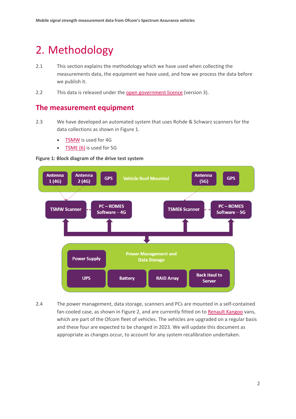## <span id="page-3-0"></span>2. Methodology

- 2.1 This section explains the methodology which we have used when collecting the measurements data, the equipment we have used, and how we process the data before we publish it.
- 2.2 This data is released under the [open government licence](https://www.nationalarchives.gov.uk/doc/open-government-licence/version/3/) (version 3).

#### **The measurement equipment**

- 2.3 We have developed an automated system that uses Rohde & Schwarz scanners for the data collections as shown in Figure 1.
	- [TSMW](https://www.rohde-schwarz.com/brochure-datasheet/tsmw/) is used for 4G
	- [TSME \(6\)](https://scdn.rohde-schwarz.com/ur/pws/dl_downloads/dl_common_library/dl_brochures_and_datasheets/pdf_1/TSME6_bro_en_3607-6873-12_v1200.pdf) is used for 5G





2.4 The power management, data storage, scanners and PCs are mounted in a self-contained fan-cooled case, as shown in Figure 2, and are currently fitted on to [Renault Kangoo](https://www.renault.co.uk/van-range/kangoo/specifications.htm) vans, which are part of the Ofcom fleet of vehicles. The vehicles are upgraded on a regular basis and these four are expected to be changed in 2023. We will update this document as appropriate as changes occur, to account for any system recalibration undertaken.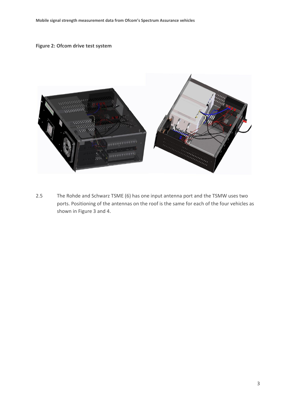#### **Figure 2: Ofcom drive test system**



2.5 The Rohde and Schwarz TSME (6) has one input antenna port and the TSMW uses two ports. Positioning of the antennas on the roof is the same for each of the four vehicles as shown in Figure 3 and 4.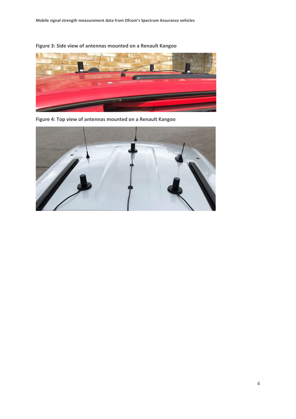**Figure 3: Side view of antennas mounted on a Renault Kangoo**



**Figure 4: Top view of antennas mounted on a Renault Kangoo**

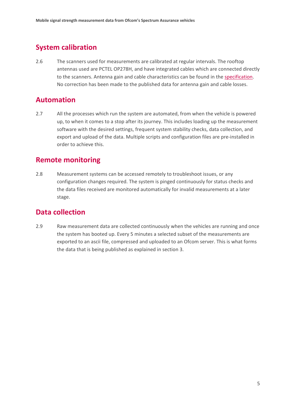#### **System calibration**

2.6 The scanners used for measurements are calibrated at regular intervals. The rooftop antennas used are PCTEL OP278H, and have integrated cables which are connected directly to the scanners. Antenna gain and cable characteristics can be found in the [specification.](https://dev2.pctel.com/wp-content/uploads/2020/07/PCTEL-Outdoor-Scanning-Receiver-Antennas-Datasheet.pdf) No correction has been made to the published data for antenna gain and cable losses.

#### **Automation**

2.7 All the processes which run the system are automated, from when the vehicle is powered up, to when it comes to a stop after its journey. This includes loading up the measurement software with the desired settings, frequent system stability checks, data collection, and export and upload of the data. Multiple scripts and configuration files are pre-installed in order to achieve this.

#### **Remote monitoring**

2.8 Measurement systems can be accessed remotely to troubleshoot issues, or any configuration changes required. The system is pinged continuously for status checks and the data files received are monitored automatically for invalid measurements at a later stage.

#### **Data collection**

2.9 Raw measurement data are collected continuously when the vehicles are running and once the system has booted up. Every 5 minutes a selected subset of the measurements are exported to an ascii file, compressed and uploaded to an Ofcom server. This is what forms the data that is being published as explained in section 3.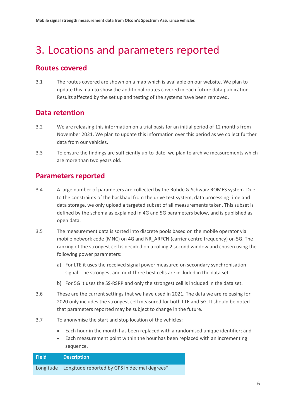## <span id="page-7-0"></span>3. Locations and parameters reported

#### **Routes covered**

3.1 The routes covered are shown on a map which is available on our website. We plan to update this map to show the additional routes covered in each future data publication. Results affected by the set up and testing of the systems have been removed.

#### **Data retention**

- 3.2 We are releasing this information on a trial basis for an initial period of 12 months from November 2021. We plan to update this information over this period as we collect further data from our vehicles.
- 3.3 To ensure the findings are sufficiently up-to-date, we plan to archive measurements which are more than two years old.

#### **Parameters reported**

- 3.4 A large number of parameters are collected by the Rohde & Schwarz ROMES system. Due to the constraints of the backhaul from the drive test system, data processing time and data storage, we only upload a targeted subset of all measurements taken. This subset is defined by the schema as explained in 4G and 5G parameters below, and is published as open data.
- 3.5 The measurement data is sorted into discrete pools based on the mobile operator via mobile network code (MNC) on 4G and NR\_ARFCN (carrier centre frequency) on 5G. The ranking of the strongest cell is decided on a rolling 2 second window and chosen using the following power parameters:
	- a) For LTE it uses the received signal power measured on secondary synchronisation signal. The strongest and next three best cells are included in the data set.
	- b) For 5G it uses the SS-RSRP and only the strongest cell is included in the data set.
- 3.6 These are the current settings that we have used in 2021. The data we are releasing for 2020 only includes the strongest cell measured for both LTE and 5G. It should be noted that parameters reported may be subject to change in the future.
- 3.7 To anonymise the start and stop location of the vehicles:
	- Each hour in the month has been replaced with a randomised unique identifier; and
	- Each measurement point within the hour has been replaced with an incrementing sequence.

### **Field Description** Longitude Longitude reported by GPS in decimal degrees\*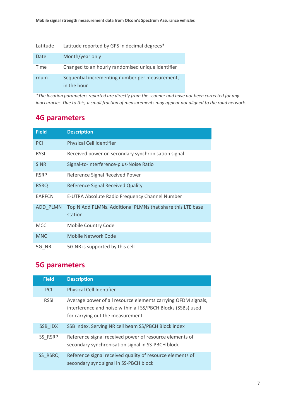| Latitude | Latitude reported by GPS in decimal degrees*                   |
|----------|----------------------------------------------------------------|
| Date     | Month/year only                                                |
| Time     | Changed to an hourly randomised unique identifier              |
| rnum     | Sequential incrementing number per measurement,<br>in the hour |

*\*The location parameters reported are directly from the scanner and have not been corrected for any inaccuracies. Due to this, a small fraction of measurements may appear not aligned to the road network.*

#### **4G parameters**

| <b>Field</b>  | <b>Description</b>                                                    |
|---------------|-----------------------------------------------------------------------|
| <b>PCI</b>    | <b>Physical Cell Identifier</b>                                       |
| <b>RSSI</b>   | Received power on secondary synchronisation signal                    |
| <b>SINR</b>   | Signal-to-Interference-plus-Noise Ratio                               |
| <b>RSRP</b>   | Reference Signal Received Power                                       |
| <b>RSRQ</b>   | <b>Reference Signal Received Quality</b>                              |
| <b>EARFCN</b> | E-UTRA Absolute Radio Frequency Channel Number                        |
| ADD PLMN      | Top N Add PLMNs. Additional PLMNs that share this LTE base<br>station |
| <b>MCC</b>    | Mobile Country Code                                                   |
| <b>MNC</b>    | Mobile Network Code                                                   |
| 5G NR         | 5G NR is supported by this cell                                       |

### **5G parameters**

| <b>Field</b> | <b>Description</b>                                                                                                                                                |
|--------------|-------------------------------------------------------------------------------------------------------------------------------------------------------------------|
| <b>PCI</b>   | <b>Physical Cell Identifier</b>                                                                                                                                   |
| <b>RSSI</b>  | Average power of all resource elements carrying OFDM signals,<br>interference and noise within all SS/PBCH Blocks (SSBs) used<br>for carrying out the measurement |
| SSB IDX      | SSB Index. Serving NR cell beam SS/PBCH Block index                                                                                                               |
| SS RSRP      | Reference signal received power of resource elements of<br>secondary synchronisation signal in SS-PBCH block                                                      |
| SS RSRQ      | Reference signal received quality of resource elements of<br>secondary sync signal in SS-PBCH block                                                               |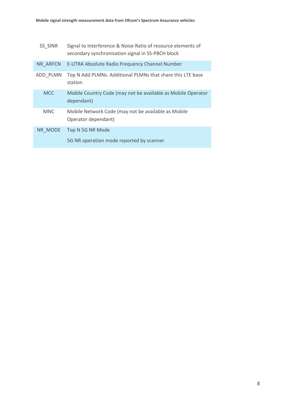| SS SINR    | Signal to Interference & Noise Ratio of resource elements of<br>secondary synchronisation signal in SS-PBCH block |
|------------|-------------------------------------------------------------------------------------------------------------------|
| NR ARFCN   | E-UTRA Absolute Radio Frequency Channel Number                                                                    |
| ADD PLMN   | Top N Add PLMNs. Additional PLMNs that share this LTE base<br>station                                             |
| <b>MCC</b> | Mobile Country Code (may not be available as Mobile Operator<br>dependant)                                        |
| <b>MNC</b> | Mobile Network Code (may not be available as Mobile<br>Operator dependant)                                        |
| NR MODE    | Top N 5G NR Mode<br>5G NR operation mode reported by scanner                                                      |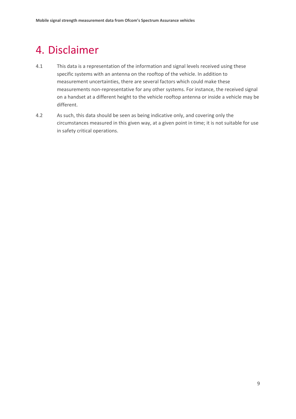### <span id="page-10-0"></span>4. Disclaimer

- 4.1 This data is a representation of the information and signal levels received using these specific systems with an antenna on the rooftop of the vehicle. In addition to measurement uncertainties, there are several factors which could make these measurements non-representative for any other systems. For instance, the received signal on a handset at a different height to the vehicle rooftop antenna or inside a vehicle may be different.
- 4.2 As such, this data should be seen as being indicative only, and covering only the circumstances measured in this given way, at a given point in time; it is not suitable for use in safety critical operations.